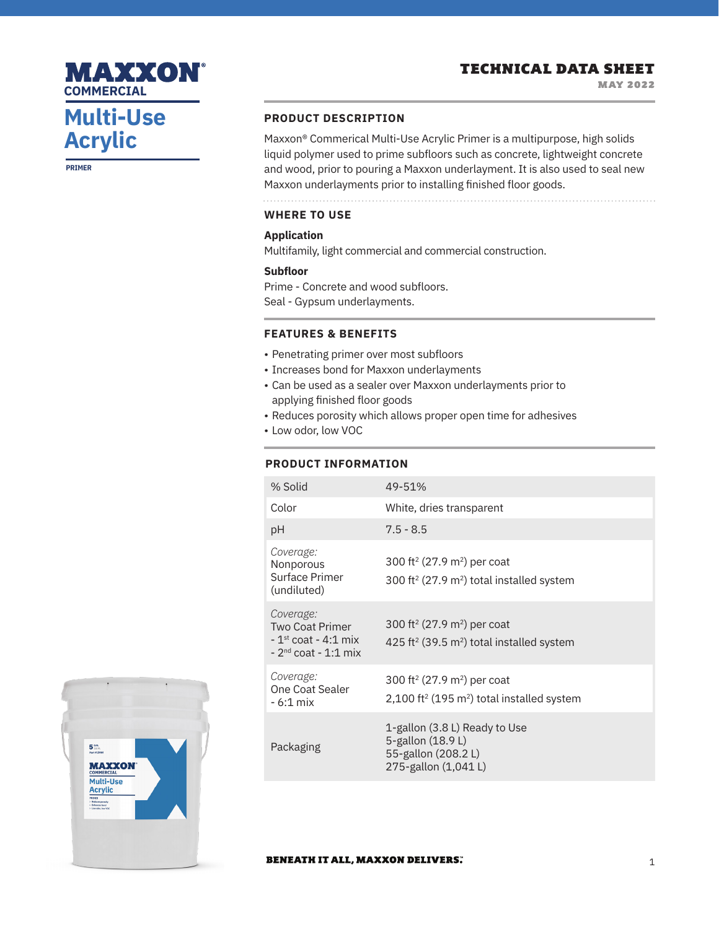# **Multi-Use Acrylic**

MAXXON

**COMMERCIAL**

**PRIMER**

#### **PRODUCT DESCRIPTION**

Maxxon® Commerical Multi-Use Acrylic Primer is a multipurpose, high solids liquid polymer used to prime subfloors such as concrete, lightweight concrete and wood, prior to pouring a Maxxon underlayment. It is also used to seal new Maxxon underlayments prior to installing finished floor goods.

**WHERE TO USE**

### **Application**

Multifamily, light commercial and commercial construction.

#### **Subfloor**

Prime - Concrete and wood subfloors.

Seal - Gypsum underlayments.

### **FEATURES & BENEFITS**

- Penetrating primer over most subfloors
- Increases bond for Maxxon underlayments
- Can be used as a sealer over Maxxon underlayments prior to applying finished floor goods
- Reduces porosity which allows proper open time for adhesives
- Low odor, low VOC

### **PRODUCT INFORMATION**

| % Solid                                                                                | 49-51%                                                                                                                    |
|----------------------------------------------------------------------------------------|---------------------------------------------------------------------------------------------------------------------------|
| Color                                                                                  | White, dries transparent                                                                                                  |
| рH                                                                                     | $7.5 - 8.5$                                                                                                               |
| Coverage:<br>Nonporous<br>Surface Primer<br>(undiluted)                                | 300 ft <sup>2</sup> (27.9 m <sup>2</sup> ) per coat<br>300 ft <sup>2</sup> (27.9 $m2$ ) total installed system            |
| Coverage:<br><b>Two Coat Primer</b><br>$-1st$ coat - 4:1 mix<br>$-2nd$ coat $-1:1$ mix | 300 ft <sup>2</sup> (27.9 m <sup>2</sup> ) per coat<br>425 ft <sup>2</sup> (39.5 $m2$ ) total installed system            |
| Coverage:<br>One Coat Sealer<br>$-6:1$ mix                                             | 300 ft <sup>2</sup> (27.9 m <sup>2</sup> ) per coat<br>2,100 ft <sup>2</sup> (195 m <sup>2</sup> ) total installed system |
| Packaging                                                                              | 1-gallon (3.8 L) Ready to Use<br>5-gallon (18.9 L)<br>55-gallon (208.2L)<br>275-gallon (1,041L)                           |



#### **BENEATH IT ALL, MAXXON DELIVERS.**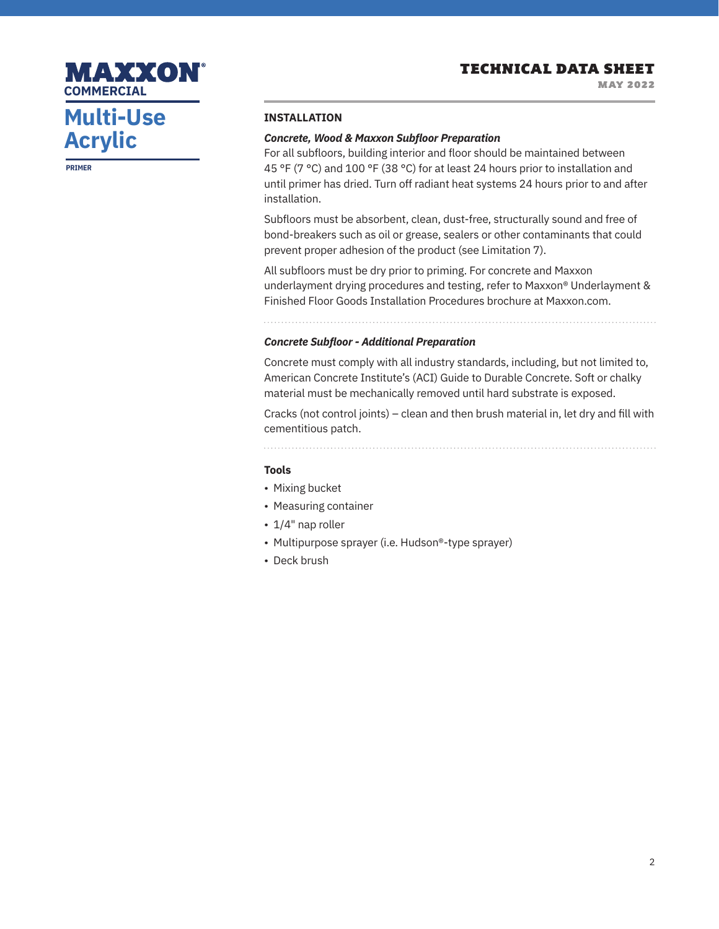MAY 2022

# **Multi-Use Acrylic**

MAXXON

**COMMERCIAL**

**PRIMER**

#### **INSTALLATION**

#### *Concrete, Wood & Maxxon Subfloor Preparation*

For all subfloors, building interior and floor should be maintained between 45 °F (7 °C) and 100 °F (38 °C) for at least 24 hours prior to installation and until primer has dried. Turn off radiant heat systems 24 hours prior to and after installation.

Subfloors must be absorbent, clean, dust-free, structurally sound and free of bond-breakers such as oil or grease, sealers or other contaminants that could prevent proper adhesion of the product (see Limitation 7).

All subfloors must be dry prior to priming. For concrete and Maxxon underlayment drying procedures and testing, refer to Maxxon® Underlayment & Finished Floor Goods Installation Procedures brochure at Maxxon.com.

### *Concrete Subfloor - Additional Preparation*

Concrete must comply with all industry standards, including, but not limited to, American Concrete Institute's (ACI) Guide to Durable Concrete. Soft or chalky material must be mechanically removed until hard substrate is exposed.

Cracks (not control joints) – clean and then brush material in, let dry and fill with cementitious patch.

#### **Tools**

- Mixing bucket
- Measuring container
- 1/4" nap roller
- Multipurpose sprayer (i.e. Hudson®-type sprayer)
- Deck brush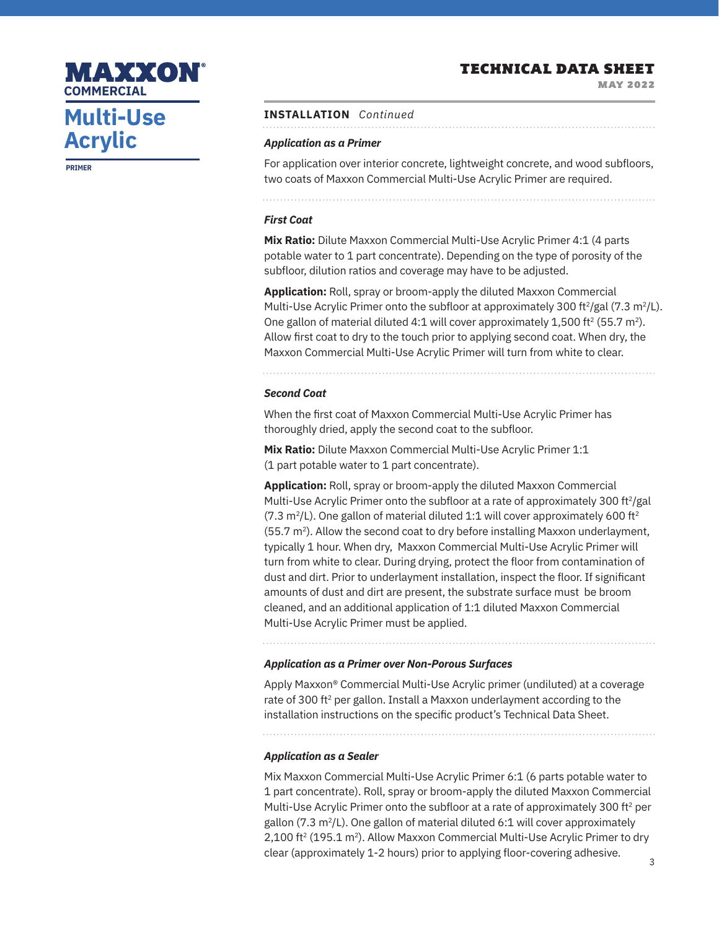MAY 2022

# **Multi-Use Acrylic COMMERCIAL**

MAXXON

**PRIMER**

#### **INSTALLATION** *Continued*

#### *Application as a Primer*

For application over interior concrete, lightweight concrete, and wood subfloors, two coats of Maxxon Commercial Multi-Use Acrylic Primer are required.

#### *First Coat*

**Mix Ratio:** Dilute Maxxon Commercial Multi-Use Acrylic Primer 4:1 (4 parts potable water to 1 part concentrate). Depending on the type of porosity of the subfloor, dilution ratios and coverage may have to be adjusted.

**Application:** Roll, spray or broom-apply the diluted Maxxon Commercial Multi-Use Acrylic Primer onto the subfloor at approximately 300 ft<sup>2</sup>/gal (7.3 m<sup>2</sup>/L). One gallon of material diluted 4:1 will cover approximately 1,500 ft<sup>2</sup> (55.7 m<sup>2</sup>). Allow first coat to dry to the touch prior to applying second coat. When dry, the Maxxon Commercial Multi-Use Acrylic Primer will turn from white to clear.

#### *Second Coat*

When the first coat of Maxxon Commercial Multi-Use Acrylic Primer has thoroughly dried, apply the second coat to the subfloor.

**Mix Ratio:** Dilute Maxxon Commercial Multi-Use Acrylic Primer 1:1 (1 part potable water to 1 part concentrate).

**Application:** Roll, spray or broom-apply the diluted Maxxon Commercial Multi-Use Acrylic Primer onto the subfloor at a rate of approximately 300 ft<sup>2</sup>/gal  $(7.3 \text{ m}^2$ /L). One gallon of material diluted 1:1 will cover approximately 600 ft<sup>2</sup>  $(55.7 \text{ m}^2)$ . Allow the second coat to dry before installing Maxxon underlayment, typically 1 hour. When dry, Maxxon Commercial Multi-Use Acrylic Primer will turn from white to clear. During drying, protect the floor from contamination of dust and dirt. Prior to underlayment installation, inspect the floor. If significant amounts of dust and dirt are present, the substrate surface must be broom cleaned, and an additional application of 1:1 diluted Maxxon Commercial Multi-Use Acrylic Primer must be applied.

#### *Application as a Primer over Non-Porous Surfaces*

Apply Maxxon® Commercial Multi-Use Acrylic primer (undiluted) at a coverage rate of 300 ft<sup>2</sup> per gallon. Install a Maxxon underlayment according to the installation instructions on the specific product's Technical Data Sheet.

#### *Application as a Sealer*

Mix Maxxon Commercial Multi-Use Acrylic Primer 6:1 (6 parts potable water to 1 part concentrate). Roll, spray or broom-apply the diluted Maxxon Commercial Multi-Use Acrylic Primer onto the subfloor at a rate of approximately 300 ft<sup>2</sup> per gallon (7.3 m<sup>2</sup>/L). One gallon of material diluted 6:1 will cover approximately 2,100 ft<sup>2</sup> (195.1 m<sup>2</sup>). Allow Maxxon Commercial Multi-Use Acrylic Primer to dry clear (approximately 1-2 hours) prior to applying floor-covering adhesive.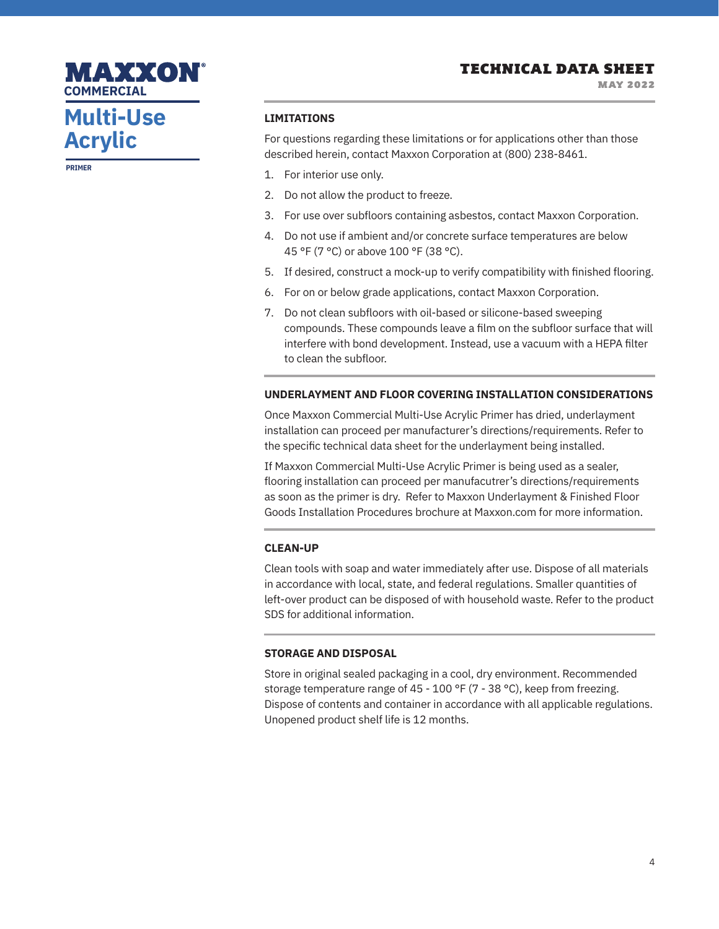MAY 2022

# **Multi-Use Acrylic**

MAXXON

**COMMERCIAL**

**PRIMER**

#### **LIMITATIONS**

For questions regarding these limitations or for applications other than those described herein, contact Maxxon Corporation at (800) 238-8461.

- 1. For interior use only.
- 2. Do not allow the product to freeze.
- 3. For use over subfloors containing asbestos, contact Maxxon Corporation.
- 4. Do not use if ambient and/or concrete surface temperatures are below 45 °F (7 °C) or above 100 °F (38 °C).
- 5. If desired, construct a mock-up to verify compatibility with finished flooring.
- 6. For on or below grade applications, contact Maxxon Corporation.
- 7. Do not clean subfloors with oil-based or silicone-based sweeping compounds. These compounds leave a film on the subfloor surface that will interfere with bond development. Instead, use a vacuum with a HEPA filter to clean the subfloor.

#### **UNDERLAYMENT AND FLOOR COVERING INSTALLATION CONSIDERATIONS**

Once Maxxon Commercial Multi-Use Acrylic Primer has dried, underlayment installation can proceed per manufacturer's directions/requirements. Refer to the specific technical data sheet for the underlayment being installed.

If Maxxon Commercial Multi-Use Acrylic Primer is being used as a sealer, flooring installation can proceed per manufacutrer's directions/requirements as soon as the primer is dry. Refer to Maxxon Underlayment & Finished Floor Goods Installation Procedures brochure at Maxxon.com for more information.

#### **CLEAN-UP**

Clean tools with soap and water immediately after use. Dispose of all materials in accordance with local, state, and federal regulations. Smaller quantities of left-over product can be disposed of with household waste. Refer to the product SDS for additional information.

#### **STORAGE AND DISPOSAL**

Store in original sealed packaging in a cool, dry environment. Recommended storage temperature range of 45 - 100 °F (7 - 38 °C), keep from freezing. Dispose of contents and container in accordance with all applicable regulations. Unopened product shelf life is 12 months.